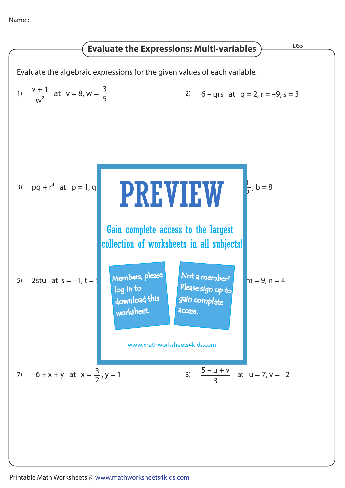